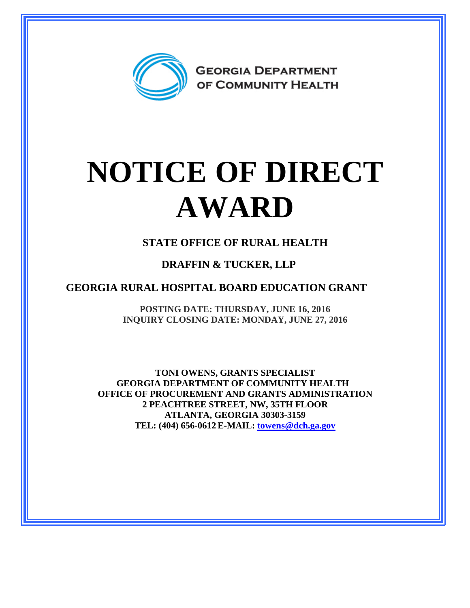

## **NOTICE OF DIRECT AWARD**

**STATE OFFICE OF RURAL HEALTH**

## **DRAFFIN & TUCKER, LLP**

**GEORGIA RURAL HOSPITAL BOARD EDUCATION GRANT**

**POSTING DATE: THURSDAY, JUNE 16, 2016 INQUIRY CLOSING DATE: MONDAY, JUNE 27, 2016**

**TONI OWENS, GRANTS SPECIALIST GEORGIA DEPARTMENT OF COMMUNITY HEALTH OFFICE OF PROCUREMENT AND GRANTS ADMINISTRATION 2 PEACHTREE STREET, NW, 35TH FLOOR ATLANTA, GEORGIA 30303-3159 TEL: (404) 656-0612 E-MAIL: [towens@dch.ga.gov](mailto:towens@dch.ga.gov)**